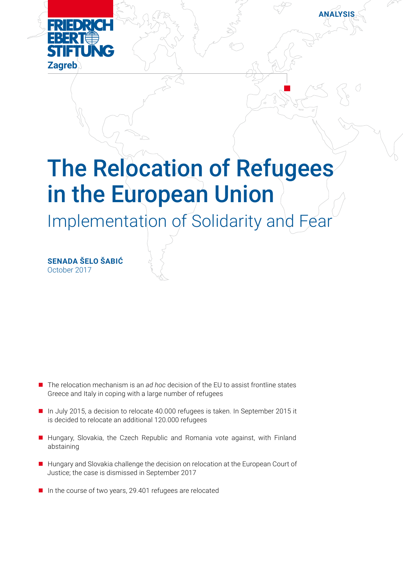

## The Relocation of Refugees in the European Union

**NALYSIS** 

Implementation of Solidarity and Fear

**Senada Šelo Šabić** October 2017

- The relocation mechanism is an *ad hoc* decision of the EU to assist frontline states Greece and Italy in coping with a large number of refugees
- In July 2015, a decision to relocate 40.000 refugees is taken. In September 2015 it is decided to relocate an additional 120.000 refugees
- Hungary, Slovakia, the Czech Republic and Romania vote against, with Finland abstaining
- $\blacksquare$  Hungary and Slovakia challenge the decision on relocation at the European Court of Justice; the case is dismissed in September 2017
- $\blacksquare$  In the course of two years, 29.401 refugees are relocated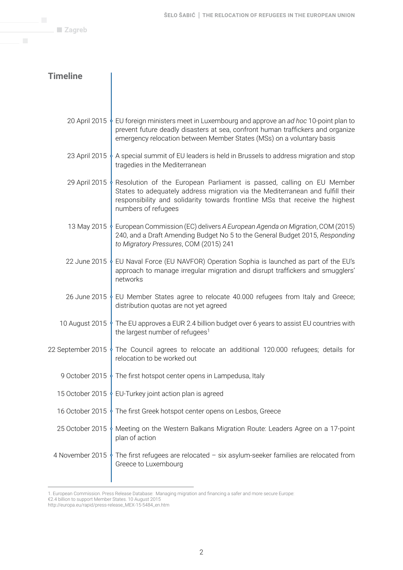**Zagreb** 

### **Timeline**

|                 | 20 April 2015 $\oint$ EU foreign ministers meet in Luxembourg and approve an ad hoc 10-point plan to<br>prevent future deadly disasters at sea, confront human traffickers and organize<br>emergency relocation between Member States (MSs) on a voluntary basis                           |  |  |  |
|-----------------|--------------------------------------------------------------------------------------------------------------------------------------------------------------------------------------------------------------------------------------------------------------------------------------------|--|--|--|
|                 | 23 April 2015 $\frac{1}{2}$ A special summit of EU leaders is held in Brussels to address migration and stop<br>tragedies in the Mediterranean                                                                                                                                             |  |  |  |
|                 | 29 April 2015 $\frac{1}{2}$ Resolution of the European Parliament is passed, calling on EU Member<br>States to adequately address migration via the Mediterranean and fulfill their<br>responsibility and solidarity towards frontline MSs that receive the highest<br>numbers of refugees |  |  |  |
|                 | 13 May 2015 • European Commission (EC) delivers A European Agenda on Migration, COM (2015)<br>240, and a Draft Amending Budget No 5 to the General Budget 2015, Responding<br>to Migratory Pressures, COM (2015) 241                                                                       |  |  |  |
|                 | 22 June 2015 ↓ EU Naval Force (EU NAVFOR) Operation Sophia is launched as part of the EU's<br>approach to manage irregular migration and disrupt traffickers and smugglers'<br>networks                                                                                                    |  |  |  |
|                 | 26 June 2015 & EU Member States agree to relocate 40.000 refugees from Italy and Greece;<br>distribution quotas are not yet agreed                                                                                                                                                         |  |  |  |
|                 | 10 August 2015 $\frac{1}{2}$ The EU approves a EUR 2.4 billion budget over 6 years to assist EU countries with<br>the largest number of refugees <sup>1</sup>                                                                                                                              |  |  |  |
|                 | 22 September 2015 $\oint$ The Council agrees to relocate an additional 120.000 refugees; details for<br>relocation to be worked out                                                                                                                                                        |  |  |  |
|                 | 9 October 2015 $\oint$ The first hotspot center opens in Lampedusa, Italy                                                                                                                                                                                                                  |  |  |  |
|                 | 15 October 2015 $\frac{1}{2}$ EU-Turkey joint action plan is agreed                                                                                                                                                                                                                        |  |  |  |
|                 | 16 October 2015 The first Greek hotspot center opens on Lesbos, Greece                                                                                                                                                                                                                     |  |  |  |
| 25 October 2015 | Meeting on the Western Balkans Migration Route: Leaders Agree on a 17-point<br>plan of action                                                                                                                                                                                              |  |  |  |
| 4 November 2015 | The first refugees are relocated $-$ six asylum-seeker families are relocated from<br>Greece to Luxembourg                                                                                                                                                                                 |  |  |  |
|                 |                                                                                                                                                                                                                                                                                            |  |  |  |

<sup>1.</sup> European Commission. Press Release Database: Managing migration and financing a safer and more secure Europe:

<sup>€2.4</sup> billion to support Member States. 10 August 2015

http://europa.eu/rapid/press-release\_MEX-15-5484\_en.htm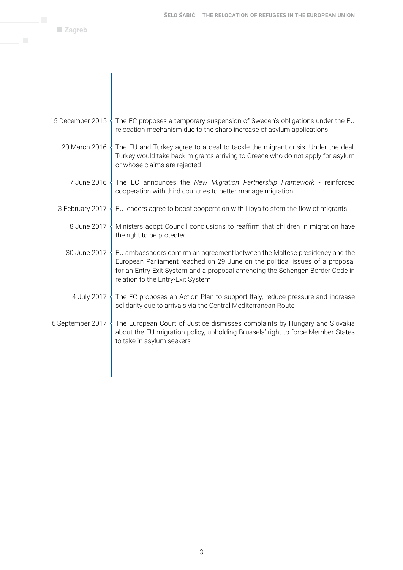$\blacksquare$  Zagreb

| 15 December 2015 $\frac{1}{2}$ The EC proposes a temporary suspension of Sweden's obligations under the EU<br>relocation mechanism due to the sharp increase of asylum applications                                                                                                                        |
|------------------------------------------------------------------------------------------------------------------------------------------------------------------------------------------------------------------------------------------------------------------------------------------------------------|
| 20 March 2016 $\frac{1}{2}$ The EU and Turkey agree to a deal to tackle the migrant crisis. Under the deal,<br>Turkey would take back migrants arriving to Greece who do not apply for asylum<br>or whose claims are rejected                                                                              |
| 7 June 2016 $\frac{1}{2}$ The EC announces the New Migration Partnership Framework - reinforced<br>cooperation with third countries to better manage migration                                                                                                                                             |
| 3 February 2017 $\frac{1}{2}$ EU leaders agree to boost cooperation with Libya to stem the flow of migrants                                                                                                                                                                                                |
| 8 June 2017 $\frac{1}{2}$ Ministers adopt Council conclusions to reaffirm that children in migration have<br>the right to be protected                                                                                                                                                                     |
| 30 June 2017 $\frac{1}{2}$ EU ambassadors confirm an agreement between the Maltese presidency and the<br>European Parliament reached on 29 June on the political issues of a proposal<br>for an Entry-Exit System and a proposal amending the Schengen Border Code in<br>relation to the Entry-Exit System |
| 4 July 2017 $\frac{1}{2}$ The EC proposes an Action Plan to support Italy, reduce pressure and increase<br>solidarity due to arrivals via the Central Mediterranean Route                                                                                                                                  |
| 6 September 2017 The European Court of Justice dismisses complaints by Hungary and Slovakia<br>about the EU migration policy, upholding Brussels' right to force Member States<br>to take in asylum seekers                                                                                                |
|                                                                                                                                                                                                                                                                                                            |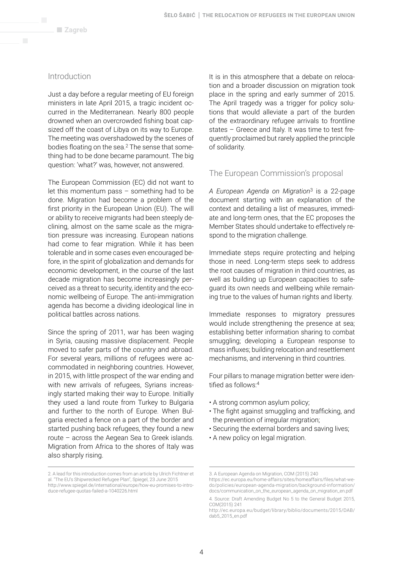#### Introduction

Just a day before a regular meeting of EU foreign ministers in late April 2015, a tragic incident occurred in the Mediterranean. Nearly 800 people drowned when an overcrowded fishing boat capsized off the coast of Libya on its way to Europe. The meeting was overshadowed by the scenes of bodies floating on the sea.2 The sense that something had to be done became paramount. The big question: 'what?' was, however, not answered.

The European Commission (EC) did not want to let this momentum pass – something had to be done. Migration had become a problem of the first priority in the European Union (EU). The will or ability to receive migrants had been steeply declining, almost on the same scale as the migration pressure was increasing. European nations had come to fear migration. While it has been tolerable and in some cases even encouraged before, in the spirit of globalization and demands for economic development, in the course of the last decade migration has become increasingly perceived as a threat to security, identity and the economic wellbeing of Europe. The anti-immigration agenda has become a dividing ideological line in political battles across nations.

Since the spring of 2011, war has been waging in Syria, causing massive displacement. People moved to safer parts of the country and abroad. For several years, millions of refugees were accommodated in neighboring countries. However, in 2015, with little prospect of the war ending and with new arrivals of refugees, Syrians increasingly started making their way to Europe. Initially they used a land route from Turkey to Bulgaria and further to the north of Europe. When Bulgaria erected a fence on a part of the border and started pushing back refugees, they found a new route – across the Aegean Sea to Greek islands. Migration from Africa to the shores of Italy was also sharply rising.

It is in this atmosphere that a debate on relocation and a broader discussion on migration took place in the spring and early summer of 2015. The April tragedy was a trigger for policy solutions that would alleviate a part of the burden of the extraordinary refugee arrivals to frontline states – Greece and Italy. It was time to test frequently proclaimed but rarely applied the principle of solidarity.

#### The European Commission's proposal

*A European Agenda on Migration*3 is a 22-page document starting with an explanation of the context and detailing a list of measures, immediate and long-term ones, that the EC proposes the Member States should undertake to effectively respond to the migration challenge.

Immediate steps require protecting and helping those in need. Long-term steps seek to address the root causes of migration in third countries, as well as building up European capacities to safeguard its own needs and wellbeing while remaining true to the values of human rights and liberty.

Immediate responses to migratory pressures would include strengthening the presence at sea; establishing better information sharing to combat smuggling; developing a European response to mass influxes; building relocation and resettlement mechanisms, and intervening in third countries.

Four pillars to manage migration better were identified as follows:<sup>4</sup>

- A strong common asylum policy;
- The fight against smuggling and trafficking, and the prevention of irregular migration;
- Securing the external borders and saving lives;
- A new policy on legal migration.

<sup>2.</sup> A lead for this introduction comes from an article by Ulrich Fichtner et al. "The EU's Shipwrecked Refugee Plan", Spiegel, 23 June 2015 http://www.spiegel.de/international/europe/how-eu-promises-to-introduce-refugee-quotas-failed-a-1040226.html

<sup>3.</sup> A European Agenda on Migration, COM (2015) 240

https://ec.europa.eu/home-affairs/sites/homeaffairs/files/what-wedo/policies/european-agenda-migration/background-information/ docs/communication\_on\_the\_european\_agenda\_on\_migration\_en.pdf

<sup>4.</sup> Source: Draft Amending Budget No 5 to the General Budget 2015, COM(2015) 241

http://ec.europa.eu/budget/library/biblio/documents/2015/DAB/ dab5\_2015\_en.pdf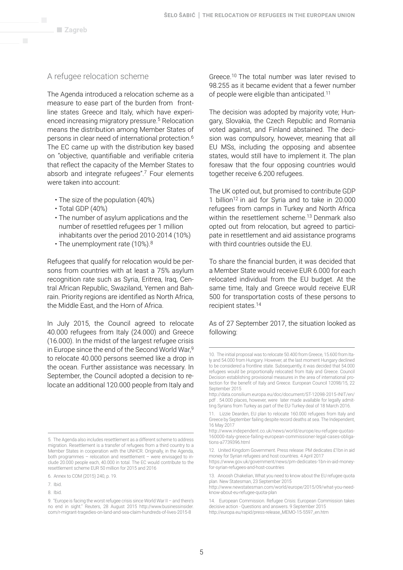#### A refugee relocation scheme

The Agenda introduced a relocation scheme as a measure to ease part of the burden from frontline states Greece and Italy, which have experienced increasing migratory pressure.5 Relocation means the distribution among Member States of persons in clear need of international protection.6 The EC came up with the distribution key based on "objective, quantifiable and verifiable criteria that reflect the capacity of the Member States to absorb and integrate refugees".7 Four elements were taken into account:

- The size of the population (40%)
- Total GDP (40%)
- The number of asylum applications and the number of resettled refugees per 1 million inhabitants over the period 2010-2014 (10%)
- The unemployment rate (10%).<sup>8</sup>

Refugees that qualify for relocation would be persons from countries with at least a 75% asylum recognition rate such as Syria, Eritrea, Iraq, Central African Republic, Swaziland, Yemen and Bahrain. Priority regions are identified as North Africa, the Middle East, and the Horn of Africa.

In July 2015, the Council agreed to relocate 40.000 refugees from Italy (24.000) and Greece (16.000). In the midst of the largest refugee crisis in Europe since the end of the Second World War,9 to relocate 40.000 persons seemed like a drop in the ocean. Further assistance was necessary. In September, the Council adopted a decision to relocate an additional 120.000 people from Italy and

Greece.10 The total number was later revised to 98.255 as it became evident that a fewer number of people were eligible than anticipated.11

The decision was adopted by majority vote; Hungary, Slovakia, the Czech Republic and Romania voted against, and Finland abstained. The decision was compulsory, however, meaning that all EU MSs, including the opposing and absentee states, would still have to implement it. The plan foresaw that the four opposing countries would together receive 6.200 refugees.

The UK opted out, but promised to contribute GDP 1 billion12 in aid for Syria and to take in 20.000 refugees from camps in Turkey and North Africa within the resettlement scheme.<sup>13</sup> Denmark also opted out from relocation, but agreed to participate in resettlement and aid assistance programs with third countries outside the EU.

To share the financial burden, it was decided that a Member State would receive EUR 6.000 for each relocated individual from the EU budget. At the same time, Italy and Greece would receive EUR 500 for transportation costs of these persons to recipient states.14

#### As of 27 September 2017, the situation looked as following:

<sup>5.</sup> The Agenda also includes resettlement as a different scheme to address migration. Resettlement is a transfer of refugees from a third country to a Member States in cooperation with the UNHCR. Originally, in the Agenda, both programmes – relocation and resettlement – were envisaged to include 20.000 people each, 40.000 in total. The EC would contribute to the resettlement scheme EUR 50 million for 2015 and 2016

<sup>6.</sup> Annex to COM (2015) 240, p. 19.

<sup>7.</sup> Ibid.

<sup>8.</sup> Ibid.

<sup>9. &</sup>quot;Europe is facing the worst refugee crisis since World War II – and there's no end in sight." Reuters, 28 August 2015 http://www.businessinsider. com/r-migrant-tragedies-on-land-and-sea-claim-hundreds-of-lives-2015-8

<sup>10.</sup> The initial proposal was to relocate 50.400 from Greece, 15.600 from Italy and 54.000 from Hungary. However, at the last moment Hungary declined to be considered a frontline state. Subsequently, it was decided that 54.000 refugees would be proportionally relocated from Italy and Greece. Council Decision establishing provisional measures in the area of international protection for the benefit of Italy and Greece. European Council 12098/15, 22 September 2015

http://data.consilium.europa.eu/doc/document/ST-12098-2015-INIT/en/ pdf . 54.000 places, however, were later made available for legally admitting Syrians from Turkey as part of the EU-Turkey deal of 18 March 2016.

<sup>11.</sup> Lizzie Dearden, EU plan to relocate 160.000 refugees from Italy and Greece by September failing despite record deaths at sea. The Independent, 16 May 2017

http://www.independent.co.uk/news/world/europe/eu-refugee-quotas-160000-italy-greece-failing-european-commissioner-legal-cases-obligations-a7739396.html

<sup>12.</sup> United Kingdom Government. Press release: PM dedicates £1bn in aid money for Syrian refugees and host countries. 4 April 2017

https://www.gov.uk/government/news/pm-dedicates-1bn-in-aid-moneyfor-syrian-refugees-and-host-countries

<sup>13.</sup> Anoosh Chakelian, What you need to know about the EU refugee quota plan. New Statesman, 23 September 2015

http://www.newstatesman.com/world/europe/2015/09/what-you-needknow-about-eu-refugee-quota-plan

<sup>14.</sup> European Commission. Refugee Crisis: European Commission takes decisive action - Questions and answers. 9 September 2015 http://europa.eu/rapid/press-release\_MEMO-15-5597\_en.htm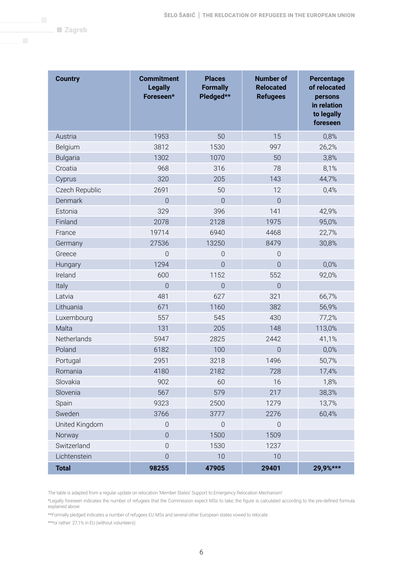**Zagreb** 

| <b>Country</b>  | <b>Commitment</b><br><b>Legally</b><br>Foreseen* | <b>Places</b><br><b>Formally</b><br>Pledged** | <b>Number of</b><br><b>Relocated</b><br><b>Refugees</b> | Percentage<br>of relocated<br>persons<br>in relation<br>to legally<br>foreseen |
|-----------------|--------------------------------------------------|-----------------------------------------------|---------------------------------------------------------|--------------------------------------------------------------------------------|
| Austria         | 1953                                             | 50                                            | 15                                                      | 0,8%                                                                           |
| Belgium         | 3812                                             | 1530                                          | 997                                                     | 26,2%                                                                          |
| <b>Bulgaria</b> | 1302                                             | 1070                                          | 50                                                      | 3,8%                                                                           |
| Croatia         | 968                                              | 316                                           | 78                                                      | 8,1%                                                                           |
| Cyprus          | 320                                              | 205                                           | 143                                                     | 44,7%                                                                          |
| Czech Republic  | 2691                                             | 50                                            | 12                                                      | 0,4%                                                                           |
| Denmark         | $\mathbf 0$                                      | $\sqrt{a}$                                    | $\sqrt{a}$                                              |                                                                                |
| Estonia         | 329                                              | 396                                           | 141                                                     | 42,9%                                                                          |
| Finland         | 2078                                             | 2128                                          | 1975                                                    | 95,0%                                                                          |
| France          | 19714                                            | 6940                                          | 4468                                                    | 22,7%                                                                          |
| Germany         | 27536                                            | 13250                                         | 8479                                                    | 30,8%                                                                          |
| Greece          | $\overline{0}$                                   | $\sqrt{a}$                                    | $\mathbf 0$                                             |                                                                                |
| Hungary         | 1294                                             | $\overline{0}$                                | $\overline{0}$                                          | 0,0%                                                                           |
| Ireland         | 600                                              | 1152                                          | 552                                                     | 92,0%                                                                          |
| Italy           | $\overline{0}$                                   | $\sqrt{a}$                                    | $\mathbf 0$                                             |                                                                                |
| Latvia          | 481                                              | 627                                           | 321                                                     | 66,7%                                                                          |
| Lithuania       | 671                                              | 1160                                          | 382                                                     | 56,9%                                                                          |
| Luxembourg      | 557                                              | 545                                           | 430                                                     | 77,2%                                                                          |
| Malta           | 131                                              | 205                                           | 148                                                     | 113,0%                                                                         |
| Netherlands     | 5947                                             | 2825                                          | 2442                                                    | 41,1%                                                                          |
| Poland          | 6182                                             | 100                                           | 0                                                       | 0,0%                                                                           |
| Portugal        | 2951                                             | 3218                                          | 1496                                                    | 50,7%                                                                          |
| Romania         | 4180                                             | 2182                                          | 728                                                     | 17,4%                                                                          |
| Slovakia        | 902                                              | 60                                            | 16                                                      | 1,8%                                                                           |
| Slovenia        | 567                                              | 579                                           | 217                                                     | 38,3%                                                                          |
| Spain           | 9323                                             | 2500                                          | 1279                                                    | 13,7%                                                                          |
| Sweden          | 3766                                             | 3777                                          | 2276                                                    | 60,4%                                                                          |
| United Kingdom  | $\mathbf 0$                                      | $\mathbf 0$                                   | $\sqrt{a}$                                              |                                                                                |
| Norway          | $\overline{0}$                                   | 1500                                          | 1509                                                    |                                                                                |
| Switzerland     | $\mathbf 0$                                      | 1530                                          | 1237                                                    |                                                                                |
| Lichtenstein    | $\mathbf 0$                                      | 10                                            | 10                                                      |                                                                                |
| <b>Total</b>    | 98255                                            | 47905                                         | 29401                                                   | 29,9%***                                                                       |

The table is adapted from a regular update on relocation 'Member States' Support to Emergency Relocation Mechanism'

\*Legally foreseen indicates the number of refugees that the Commission expect MSs to take; the figure is calculated according to the pre-defined formula explained above

\*\*Formally pledged indicates a number of refugees EU MSs and several other European states vowed to relocate

\*\*\*or rather: 27,1% in EU (without volunteers)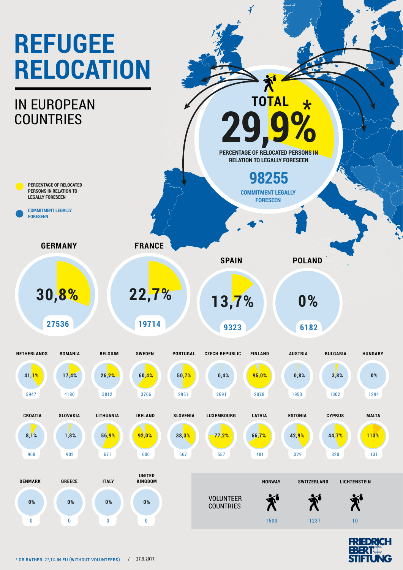# **REFUGEE RELOCATION**

### IN EUROPEAN **COUNTRIES**

**PERCENTAGE OF RELOCATED PERSONS IN RELATION TO LEGALLY FORESEEN**

**COMMITMENT LEGALLY FORESEEN**

**GERMANY**

**30,8% 22,7% 13,7%**

**27536**

**19714**

**FRANCE**

**9323**

**6182 0%**

**SPAIN POLAND**

**PERCENTAGE OF RELOCATED PERSONS IN RELATION TO LEGALLY FORESEEN**

> **COMMITMENT LEGALLY FORESEEN**

**98255**

**29,9%**

**TOTAL**

 $\frac{4}{3}$ 

**\***



**COUNTRIES** 





0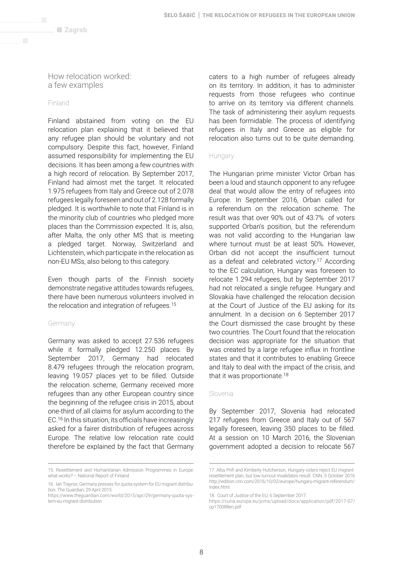$\blacksquare$  Zagreb

How relocation worked: a few examples

#### Finland

Finland abstained from voting on the EU relocation plan explaining that it believed that any refugee plan should be voluntary and not compulsory. Despite this fact, however, Finland assumed responsibility for implementing the EU decisions. It has been among a few countries with a high record of relocation. By September 2017, Finland had almost met the target. It relocated 1.975 refugees from Italy and Greece out of 2.078 refugees legally foreseen and out of 2.128 formally pledged. It is worthwhile to note that Finland is in the minority club of countries who pledged more places than the Commission expected. It is, also, after Malta, the only other MS that is meeting a pledged target. Norway, Switzerland and Lichtenstein, which participate in the relocation as non-EU MSs, also belong to this category.

Even though parts of the Finnish society demonstrate negative attitudes towards refugees, there have been numerous volunteers involved in the relocation and integration of refugees.15

#### Germany

Germany was asked to accept 27.536 refugees while it formally pledged 12.250 places. By September 2017, Germany had relocated 8.479 refugees through the relocation program, leaving 19.057 places yet to be filled. Outside the relocation scheme, Germany received more refugees than any other European country since the beginning of the refugee crisis in 2015, about one-third of all claims for asylum according to the EC.16 In this situation, its officials have increasingly asked for a fairer distribution of refugees across Europe. The relative low relocation rate could therefore be explained by the fact that Germany caters to a high number of refugees already on its territory. In addition, it has to administer requests from those refugees who continue to arrive on its territory via different channels. The task of administering their asylum requests has been formidable. The process of identifying refugees in Italy and Greece as eligible for relocation also turns out to be quite demanding.

#### Hungary

The Hungarian prime minister Victor Orban has been a loud and staunch opponent to any refugee deal that would allow the entry of refugees into Europe. In September 2016, Orban called for a referendum on the relocation scheme. The result was that over 90% out of 43.7% of voters supported Orban's position, but the referendum was not valid according to the Hungarian law where turnout must be at least 50%. However, Orban did not accept the insufficient turnout as a defeat and celebrated victory.<sup>17</sup> According to the EC calculation, Hungary was foreseen to relocate 1.294 refugees, but by September 2017 had not relocated a single refugee. Hungary and Slovakia have challenged the relocation decision at the Court of Justice of the EU asking for its annulment. In a decision on 6 September 2017 the Court dismissed the case brought by these two countries. The Court found that the relocation decision was appropriate for the situation that was created by a large refugee influx in frontline states and that it contributes to enabling Greece and Italy to deal with the impact of the crisis, and that it was proportionate.<sup>18</sup>

#### Slovenia

By September 2017, Slovenia had relocated 217 refugees from Greece and Italy out of 567 legally foreseen, leaving 350 places to be filled. At a session on 10 March 2016, the Slovenian government adopted a decision to relocate 567

<sup>15.</sup> Resettlement and Humanitarian Admission Programmes in Europe: what works? – National Report of Finland

<sup>16.</sup> Ian Traynor, Germany presses for quota system for EU migrant distribution. The Guardian, 29 April 2015

https://www.theguardian.com/world/2015/apr/29/germany-quota-system-eu-migrant-distribution

<sup>17.</sup> Alba Prifi and Kimberly Hutcherson, Hungary voters reject EU migrantresettlement plan, but low turnout invalidates result. CNN, 5 October 2016 http://edition.cnn.com/2016/10/02/europe/hungary-migrant-referendum/ index.html

<sup>18.</sup> Court of Justice of the EU, 6 September 2017.

https://curia.europa.eu/jcms/upload/docs/application/pdf/2017-07/ cp170088en.pdf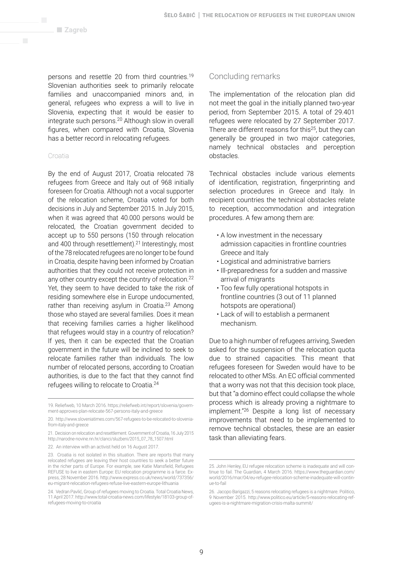persons and resettle 20 from third countries.19 Slovenian authorities seek to primarily relocate families and unaccompanied minors and, in general, refugees who express a will to live in Slovenia, expecting that it would be easier to integrate such persons.20 Although slow in overall figures, when compared with Croatia, Slovenia has a better record in relocating refugees.

#### Croatia

By the end of August 2017, Croatia relocated 78 refugees from Greece and Italy out of 968 initially foreseen for Croatia. Although not a vocal supporter of the relocation scheme, Croatia voted for both decisions in July and September 2015. In July 2015, when it was agreed that 40.000 persons would be relocated, the Croatian government decided to accept up to 550 persons (150 through relocation and 400 through resettlement).<sup>21</sup> Interestingly, most of the 78 relocated refugees are no longer to be found in Croatia, despite having been informed by Croatian authorities that they could not receive protection in any other country except the country of relocation.22 Yet, they seem to have decided to take the risk of residing somewhere else in Europe undocumented, rather than receiving asylum in Croatia. $23$  Among those who stayed are several families. Does it mean that receiving families carries a higher likelihood that refugees would stay in a country of relocation? If yes, then it can be expected that the Croatian government in the future will be inclined to seek to relocate families rather than individuals. The low number of relocated persons, according to Croatian authorities, is due to the fact that they cannot find refugees willing to relocate to Croatia.24

#### Concluding remarks

The implementation of the relocation plan did not meet the goal in the initially planned two-year period, from September 2015. A total of 29.401 refugees were relocated by 27 September 2017. There are different reasons for this<sup>25</sup>, but they can generally be grouped in two major categories, namely technical obstacles and perception obstacles.

Technical obstacles include various elements of identification, registration, fingerprinting and selection procedures in Greece and Italy. In recipient countries the technical obstacles relate to reception, accommodation and integration procedures. A few among them are:

- A low investment in the necessary admission capacities in frontline countries Greece and Italy
- Logistical and administrative barriers
- Ill-preparedness for a sudden and massive arrival of migrants
- Too few fully operational hotspots in frontline countries (3 out of 11 planned hotspots are operational)
- Lack of will to establish a permanent mechanism.

Due to a high number of refugees arriving, Sweden asked for the suspension of the relocation quota due to strained capacities. This meant that refugees foreseen for Sweden would have to be relocated to other MSs. An EC official commented that a worry was not that this decision took place, but that "a domino effect could collapse the whole process which is already proving a nightmare to implement."26 Despite a long list of necessary improvements that need to be implemented to remove technical obstacles, these are an easier task than alleviating fears.

<sup>19.</sup> Reliefweb, 10 March 2016. https://reliefweb.int/report/slovenia/government-approves-plan-relocate-567-persons-italy-and-greece

<sup>20.</sup> http://www.sloveniatimes.com/567-refugees-to-be-relocated-to-sloveniafrom-italy-and-greece

<sup>21.</sup> Decision on relocation and resettlement. Government of Croatia, 16 July 2015 http://narodne-novine.nn.hr/clanci/sluzbeni/2015\_07\_78\_1507.html

<sup>22.</sup> An interview with an activist held on 16 August 2017.

<sup>23.</sup> Croatia is not isolated in this situation. There are reports that many relocated refugees are leaving their host countries to seek a better future in the richer parts of Europe. For example, see Katie Mansfield, Refugees REFUSE to live in eastern Europe: EU relocation programme is a farce. Express, 28 November 2016. http://www.express.co.uk/news/world/737356/ eu-migrant-relocation-refugees-refuse-live-eastern-europe-lithuania

<sup>24.</sup> Vedran Pavlić, Group of refugees moving to Croatia. Total Croatia News, 11 April 2017. http://www.total-croatia-news.com/lifestyle/18103-group-ofrefugees-moving-to-croatia

<sup>25.</sup> John Henley, EU refugee relocation scheme is inadequate and will continue to fail. The Guardian, 4 March 2016. https://www.theguardian.com/ world/2016/mar/04/eu-refugee-relocation-scheme-inadequate-will-continue-to-fail

<sup>26.</sup> Jacopo Barigazzi, 5 reasons relocating refugees is a nightmare. Politico, 9 November 2015. http://www.politico.eu/article/5-reasons-relocating-refugees-is-a-nightmare-migration-crisis-malta-summit/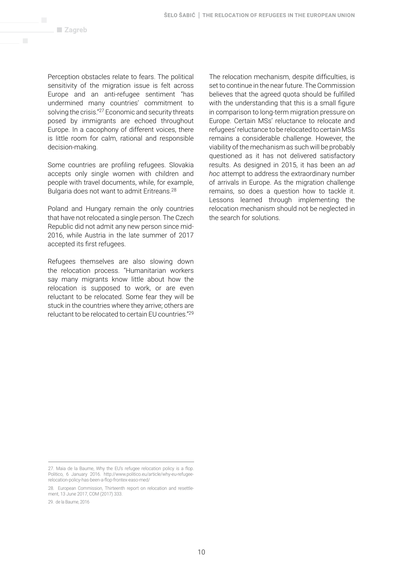Perception obstacles relate to fears. The political sensitivity of the migration issue is felt across Europe and an anti-refugee sentiment "has undermined many countries' commitment to solving the crisis."27 Economic and security threats posed by immigrants are echoed throughout Europe. In a cacophony of different voices, there is little room for calm, rational and responsible decision-making.

Some countries are profiling refugees. Slovakia accepts only single women with children and people with travel documents, while, for example, Bulgaria does not want to admit Eritreans.28

Poland and Hungary remain the only countries that have not relocated a single person. The Czech Republic did not admit any new person since mid-2016, while Austria in the late summer of 2017 accepted its first refugees.

Refugees themselves are also slowing down the relocation process. "Humanitarian workers say many migrants know little about how the relocation is supposed to work, or are even reluctant to be relocated. Some fear they will be stuck in the countries where they arrive; others are reluctant to be relocated to certain EU countries."29

The relocation mechanism, despite difficulties, is set to continue in the near future. The Commission believes that the agreed quota should be fulfilled with the understanding that this is a small figure in comparison to long-term migration pressure on Europe. Certain MSs' reluctance to relocate and refugees' reluctance to be relocated to certain MSs remains a considerable challenge. However, the viability of the mechanism as such will be probably questioned as it has not delivered satisfactory results. As designed in 2015, it has been an *ad hoc* attempt to address the extraordinary number of arrivals in Europe. As the migration challenge remains, so does a question how to tackle it. Lessons learned through implementing the relocation mechanism should not be neglected in the search for solutions.

<sup>27.</sup> Maia de la Baume, Why the EU's refugee relocation policy is a flop. Politico, 6 January 2016. http://www.politico.eu/article/why-eu-refugeerelocation-policy-has-been-a-flop-frontex-easo-med/

<sup>28.</sup> European Commission, Thirteenth report on relocation and resettlement, 13 June 2017, COM (2017) 333.

<sup>29.</sup> de la Baume, 2016